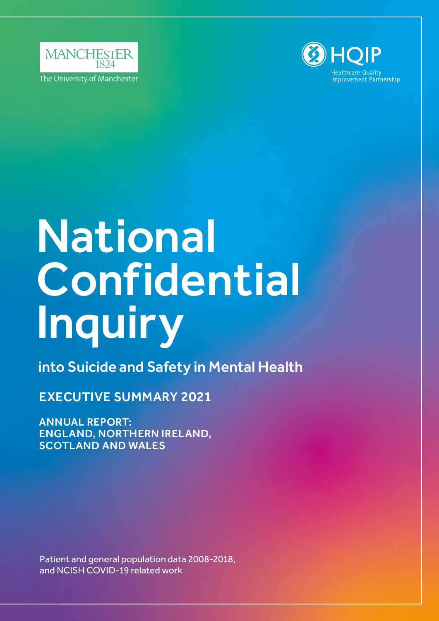



# National Confidential **Inquiry**

into Suicide and Safety in Mental Health

EXECUTIVE SUMMARY 2021

ANNUAL REPORT: ENGLAND, NORTHERN IRELAND, SCOTLAND AND WALES

Patient and general population data 2008-2018, and NCISH COVID-19 related work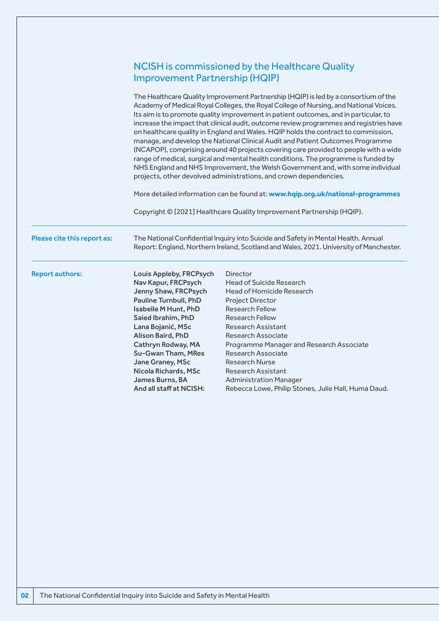# NCISH is commissioned by the Healthcare Quality Improvement Partnership (HQIP)

|                             |                                                                                                                                                                                                                                                                                                                                                                         | The Healthcare Quality Improvement Partnership (HQIP) is led by a consortium of the<br>Academy of Medical Royal Colleges, the Royal College of Nursing, and National Voices.<br>Its aim is to promote quality improvement in patient outcomes, and in particular, to<br>increase the impact that clinical audit, outcome review programmes and registries have<br>on healthcare quality in England and Wales. HQIP holds the contract to commission,<br>manage, and develop the National Clinical Audit and Patient Outcomes Programme<br>(NCAPOP), comprising around 40 projects covering care provided to people with a wide<br>range of medical, surgical and mental health conditions. The programme is funded by<br>NHS England and NHS Improvement, the Welsh Government and, with some individual<br>projects, other devolved administrations, and crown dependencies.<br>More detailed information can be found at: www.hqip.org.uk/national-programmes |
|-----------------------------|-------------------------------------------------------------------------------------------------------------------------------------------------------------------------------------------------------------------------------------------------------------------------------------------------------------------------------------------------------------------------|-----------------------------------------------------------------------------------------------------------------------------------------------------------------------------------------------------------------------------------------------------------------------------------------------------------------------------------------------------------------------------------------------------------------------------------------------------------------------------------------------------------------------------------------------------------------------------------------------------------------------------------------------------------------------------------------------------------------------------------------------------------------------------------------------------------------------------------------------------------------------------------------------------------------------------------------------------------------|
|                             |                                                                                                                                                                                                                                                                                                                                                                         | Copyright © [2021] Healthcare Quality Improvement Partnership (HQIP).                                                                                                                                                                                                                                                                                                                                                                                                                                                                                                                                                                                                                                                                                                                                                                                                                                                                                           |
| Please cite this report as: |                                                                                                                                                                                                                                                                                                                                                                         | The National Confidential Inquiry into Suicide and Safety in Mental Health. Annual<br>Report: England, Northern Ireland, Scotland and Wales. 2021. University of Manchester.                                                                                                                                                                                                                                                                                                                                                                                                                                                                                                                                                                                                                                                                                                                                                                                    |
| <b>Report authors:</b>      | <b>Louis Appleby, FRCPsych</b><br>Nav Kapur, FRCPsych<br>Jenny Shaw, FRCPsych<br><b>Pauline Turnbull, PhD</b><br><b>Isabelle M Hunt, PhD</b><br>Saied Ibrahim, PhD<br>Lana Bojanić, MSc<br><b>Alison Baird, PhD</b><br>Cathryn Rodway, MA<br><b>Su-Gwan Tham, MRes</b><br>Jane Graney, MSc<br><b>Nicola Richards, MSc</b><br>James Burns, BA<br>And all staff at NCISH: | <b>Director</b><br><b>Head of Suicide Research</b><br>Head of Homicide Research<br>Project Director<br><b>Research Fellow</b><br><b>Research Fellow</b><br><b>Research Assistant</b><br><b>Research Associate</b><br>Programme Manager and Research Associate<br><b>Research Associate</b><br><b>Research Nurse</b><br><b>Research Assistant</b><br><b>Administration Manager</b><br>Rebecca Lowe, Philip Stones, Julie Hall, Huma Daud.                                                                                                                                                                                                                                                                                                                                                                                                                                                                                                                        |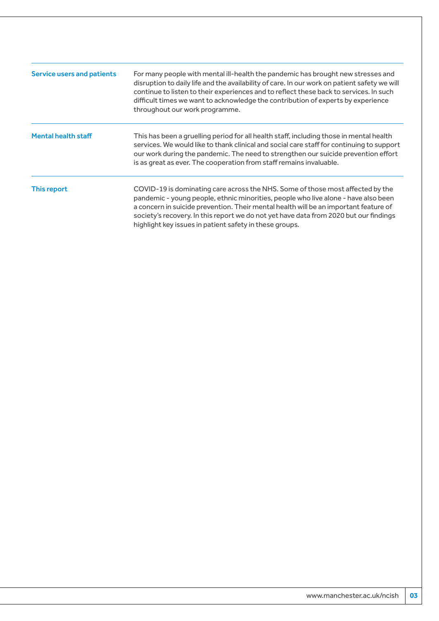| <b>Service users and patients</b> | For many people with mental ill-health the pandemic has brought new stresses and<br>disruption to daily life and the availability of care. In our work on patient safety we will<br>continue to listen to their experiences and to reflect these back to services. In such<br>difficult times we want to acknowledge the contribution of experts by experience<br>throughout our work programme.                 |
|-----------------------------------|------------------------------------------------------------------------------------------------------------------------------------------------------------------------------------------------------------------------------------------------------------------------------------------------------------------------------------------------------------------------------------------------------------------|
| <b>Mental health staff</b>        | This has been a gruelling period for all health staff, including those in mental health<br>services. We would like to thank clinical and social care staff for continuing to support<br>our work during the pandemic. The need to strengthen our suicide prevention effort<br>is as great as ever. The cooperation from staff remains invaluable.                                                                |
| This report                       | COVID-19 is dominating care across the NHS. Some of those most affected by the<br>pandemic - young people, ethnic minorities, people who live alone - have also been<br>a concern in suicide prevention. Their mental health will be an important feature of<br>society's recovery. In this report we do not yet have data from 2020 but our findings<br>highlight key issues in patient safety in these groups. |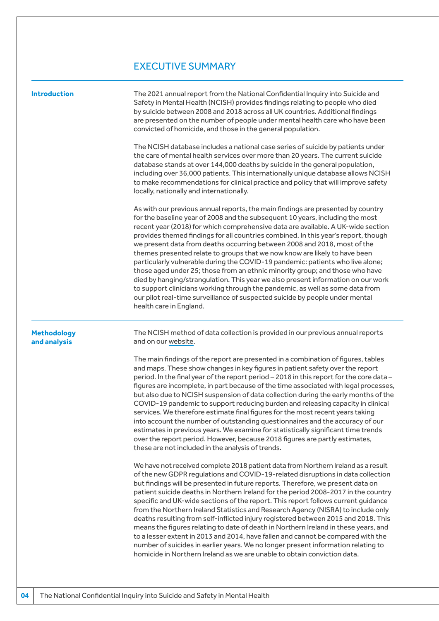## EXECUTIVE SUMMARY

| <b>Introduction</b>                | The 2021 annual report from the National Confidential Inquiry into Suicide and<br>Safety in Mental Health (NCISH) provides findings relating to people who died<br>by suicide between 2008 and 2018 across all UK countries. Additional findings<br>are presented on the number of people under mental health care who have been<br>convicted of homicide, and those in the general population.                                                                                                                                                                                                                                                                                                                                                                                                                                                                                                                                                          |
|------------------------------------|----------------------------------------------------------------------------------------------------------------------------------------------------------------------------------------------------------------------------------------------------------------------------------------------------------------------------------------------------------------------------------------------------------------------------------------------------------------------------------------------------------------------------------------------------------------------------------------------------------------------------------------------------------------------------------------------------------------------------------------------------------------------------------------------------------------------------------------------------------------------------------------------------------------------------------------------------------|
|                                    | The NCISH database includes a national case series of suicide by patients under<br>the care of mental health services over more than 20 years. The current suicide<br>database stands at over 144,000 deaths by suicide in the general population,<br>including over 36,000 patients. This internationally unique database allows NCISH<br>to make recommendations for clinical practice and policy that will improve safety<br>locally, nationally and internationally.                                                                                                                                                                                                                                                                                                                                                                                                                                                                                 |
|                                    | As with our previous annual reports, the main findings are presented by country<br>for the baseline year of 2008 and the subsequent 10 years, including the most<br>recent year (2018) for which comprehensive data are available. A UK-wide section<br>provides themed findings for all countries combined. In this year's report, though<br>we present data from deaths occurring between 2008 and 2018, most of the<br>themes presented relate to groups that we now know are likely to have been<br>particularly vulnerable during the COVID-19 pandemic: patients who live alone;<br>those aged under 25; those from an ethnic minority group; and those who have<br>died by hanging/strangulation. This year we also present information on our work<br>to support clinicians working through the pandemic, as well as some data from<br>our pilot real-time surveillance of suspected suicide by people under mental<br>health care in England.   |
| <b>Methodology</b><br>and analysis | The NCISH method of data collection is provided in our previous annual reports<br>and on our website.                                                                                                                                                                                                                                                                                                                                                                                                                                                                                                                                                                                                                                                                                                                                                                                                                                                    |
|                                    | The main findings of the report are presented in a combination of figures, tables<br>and maps. These show changes in key figures in patient safety over the report<br>period. In the final year of the report period - 2018 in this report for the core data -<br>figures are incomplete, in part because of the time associated with legal processes,<br>but also due to NCISH suspension of data collection during the early months of the<br>COVID-19 pandemic to support reducing burden and releasing capacity in clinical<br>services. We therefore estimate final figures for the most recent years taking<br>into account the number of outstanding questionnaires and the accuracy of our<br>estimates in previous years. We examine for statistically significant time trends<br>over the report period. However, because 2018 figures are partly estimates,<br>these are not included in the analysis of trends.                              |
|                                    | We have not received complete 2018 patient data from Northern Ireland as a result<br>of the new GDPR regulations and COVID-19-related disruptions in data collection<br>but findings will be presented in future reports. Therefore, we present data on<br>patient suicide deaths in Northern Ireland for the period 2008-2017 in the country<br>specific and UK-wide sections of the report. This report follows current guidance<br>from the Northern Ireland Statistics and Research Agency (NISRA) to include only<br>deaths resulting from self-inflicted injury registered between 2015 and 2018. This<br>means the figures relating to date of death in Northern Ireland in these years, and<br>to a lesser extent in 2013 and 2014, have fallen and cannot be compared with the<br>number of suicides in earlier years. We no longer present information relating to<br>homicide in Northern Ireland as we are unable to obtain conviction data. |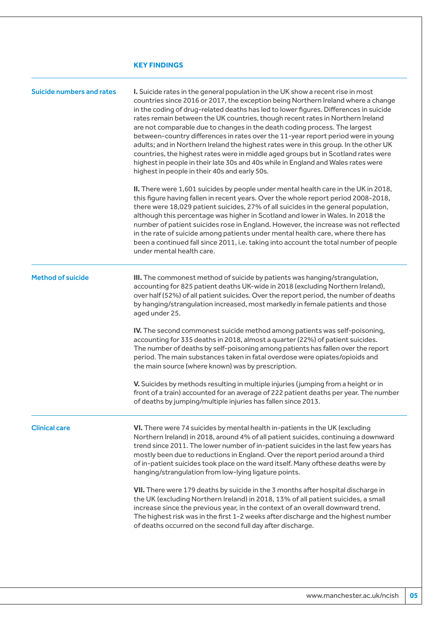|                                  | <b>KEY FINDINGS</b>                                                                                                                                                                                                                                                                                                                                                                                                                                                                                                                                                                                                                                                                                                                                                                                                                     |
|----------------------------------|-----------------------------------------------------------------------------------------------------------------------------------------------------------------------------------------------------------------------------------------------------------------------------------------------------------------------------------------------------------------------------------------------------------------------------------------------------------------------------------------------------------------------------------------------------------------------------------------------------------------------------------------------------------------------------------------------------------------------------------------------------------------------------------------------------------------------------------------|
| <b>Suicide numbers and rates</b> | I. Suicide rates in the general population in the UK show a recent rise in most<br>countries since 2016 or 2017, the exception being Northern Ireland where a change<br>in the coding of drug-related deaths has led to lower figures. Differences in suicide<br>rates remain between the UK countries, though recent rates in Northern Ireland<br>are not comparable due to changes in the death coding process. The largest<br>between-country differences in rates over the 11-year report period were in young<br>adults; and in Northern Ireland the highest rates were in this group. In the other UK<br>countries, the highest rates were in middle aged groups but in Scotland rates were<br>highest in people in their late 30s and 40s while in England and Wales rates were<br>highest in people in their 40s and early 50s. |
|                                  | II. There were 1,601 suicides by people under mental health care in the UK in 2018,<br>this figure having fallen in recent years. Over the whole report period 2008-2018,<br>there were 18,029 patient suicides, 27% of all suicides in the general population,<br>although this percentage was higher in Scotland and lower in Wales. In 2018 the<br>number of patient suicides rose in England. However, the increase was not reflected<br>in the rate of suicide among patients under mental health care, where there has<br>been a continued fall since 2011, i.e. taking into account the total number of people<br>under mental health care.                                                                                                                                                                                      |
| <b>Method of suicide</b>         | III. The commonest method of suicide by patients was hanging/strangulation,<br>accounting for 825 patient deaths UK-wide in 2018 (excluding Northern Ireland),<br>over half (52%) of all patient suicides. Over the report period, the number of deaths<br>by hanging/strangulation increased, most markedly in female patients and those<br>aged under 25.                                                                                                                                                                                                                                                                                                                                                                                                                                                                             |
|                                  | IV. The second commonest suicide method among patients was self-poisoning,<br>accounting for 335 deaths in 2018, almost a quarter (22%) of patient suicides.<br>The number of deaths by self-poisoning among patients has fallen over the report<br>period. The main substances taken in fatal overdose were opiates/opioids and<br>the main source (where known) was by prescription.                                                                                                                                                                                                                                                                                                                                                                                                                                                  |
|                                  | V. Suicides by methods resulting in multiple injuries (jumping from a height or in<br>front of a train) accounted for an average of 222 patient deaths per year. The number<br>of deaths by jumping/multiple injuries has fallen since 2013.                                                                                                                                                                                                                                                                                                                                                                                                                                                                                                                                                                                            |
| <b>Clinical care</b>             | VI. There were 74 suicides by mental health in-patients in the UK (excluding<br>Northern Ireland) in 2018, around 4% of all patient suicides, continuing a downward<br>trend since 2011. The lower number of in-patient suicides in the last few years has<br>mostly been due to reductions in England. Over the report period around a third<br>of in-patient suicides took place on the ward itself. Many ofthese deaths were by<br>hanging/strangulation from low-lying ligature points.                                                                                                                                                                                                                                                                                                                                             |
|                                  | VII. There were 179 deaths by suicide in the 3 months after hospital discharge in<br>the UK (excluding Northern Ireland) in 2018, 13% of all patient suicides, a small<br>increase since the previous year, in the context of an overall downward trend.<br>The highest risk was in the first 1-2 weeks after discharge and the highest number<br>of deaths occurred on the second full day after discharge.                                                                                                                                                                                                                                                                                                                                                                                                                            |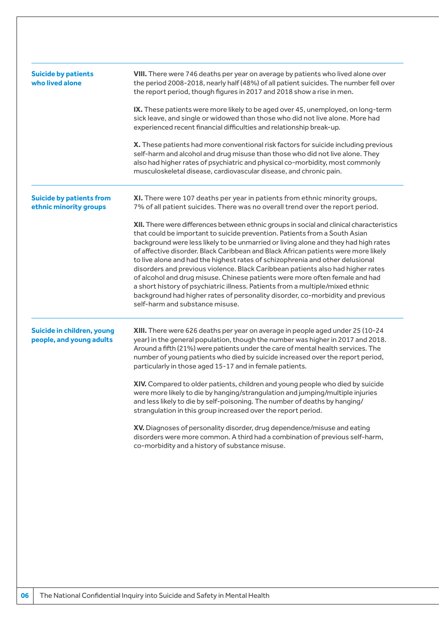| <b>Suicide by patients</b><br>who lived alone             | VIII. There were 746 deaths per year on average by patients who lived alone over<br>the period 2008-2018, nearly half (48%) of all patient suicides. The number fell over<br>the report period, though figures in 2017 and 2018 show a rise in men.                                                                                                                                                                                                                                                                                                                                                                                                                                                                                                                                                          |
|-----------------------------------------------------------|--------------------------------------------------------------------------------------------------------------------------------------------------------------------------------------------------------------------------------------------------------------------------------------------------------------------------------------------------------------------------------------------------------------------------------------------------------------------------------------------------------------------------------------------------------------------------------------------------------------------------------------------------------------------------------------------------------------------------------------------------------------------------------------------------------------|
|                                                           | IX. These patients were more likely to be aged over 45, unemployed, on long-term<br>sick leave, and single or widowed than those who did not live alone. More had<br>experienced recent financial difficulties and relationship break-up.                                                                                                                                                                                                                                                                                                                                                                                                                                                                                                                                                                    |
|                                                           | X. These patients had more conventional risk factors for suicide including previous<br>self-harm and alcohol and drug misuse than those who did not live alone. They<br>also had higher rates of psychiatric and physical co-morbidity, most commonly<br>musculoskeletal disease, cardiovascular disease, and chronic pain.                                                                                                                                                                                                                                                                                                                                                                                                                                                                                  |
| <b>Suicide by patients from</b><br>ethnic minority groups | XI. There were 107 deaths per year in patients from ethnic minority groups,<br>7% of all patient suicides. There was no overall trend over the report period.                                                                                                                                                                                                                                                                                                                                                                                                                                                                                                                                                                                                                                                |
|                                                           | XII. There were differences between ethnic groups in social and clinical characteristics<br>that could be important to suicide prevention. Patients from a South Asian<br>background were less likely to be unmarried or living alone and they had high rates<br>of affective disorder. Black Caribbean and Black African patients were more likely<br>to live alone and had the highest rates of schizophrenia and other delusional<br>disorders and previous violence. Black Caribbean patients also had higher rates<br>of alcohol and drug misuse. Chinese patients were more often female and had<br>a short history of psychiatric illness. Patients from a multiple/mixed ethnic<br>background had higher rates of personality disorder, co-morbidity and previous<br>self-harm and substance misuse. |
| Suicide in children, young<br>people, and young adults    | XIII. There were 626 deaths per year on average in people aged under 25 (10-24<br>year) in the general population, though the number was higher in 2017 and 2018.<br>Around a fifth (21%) were patients under the care of mental health services. The<br>number of young patients who died by suicide increased over the report period,<br>particularly in those aged 15-17 and in female patients.                                                                                                                                                                                                                                                                                                                                                                                                          |
|                                                           | XIV. Compared to older patients, children and young people who died by suicide<br>were more likely to die by hanging/strangulation and jumping/multiple injuries<br>and less likely to die by self-poisoning. The number of deaths by hanging/<br>strangulation in this group increased over the report period.                                                                                                                                                                                                                                                                                                                                                                                                                                                                                              |
|                                                           | XV. Diagnoses of personality disorder, drug dependence/misuse and eating<br>disorders were more common. A third had a combination of previous self-harm,<br>co-morbidity and a history of substance misuse.                                                                                                                                                                                                                                                                                                                                                                                                                                                                                                                                                                                                  |
|                                                           |                                                                                                                                                                                                                                                                                                                                                                                                                                                                                                                                                                                                                                                                                                                                                                                                              |
|                                                           |                                                                                                                                                                                                                                                                                                                                                                                                                                                                                                                                                                                                                                                                                                                                                                                                              |
|                                                           |                                                                                                                                                                                                                                                                                                                                                                                                                                                                                                                                                                                                                                                                                                                                                                                                              |
|                                                           |                                                                                                                                                                                                                                                                                                                                                                                                                                                                                                                                                                                                                                                                                                                                                                                                              |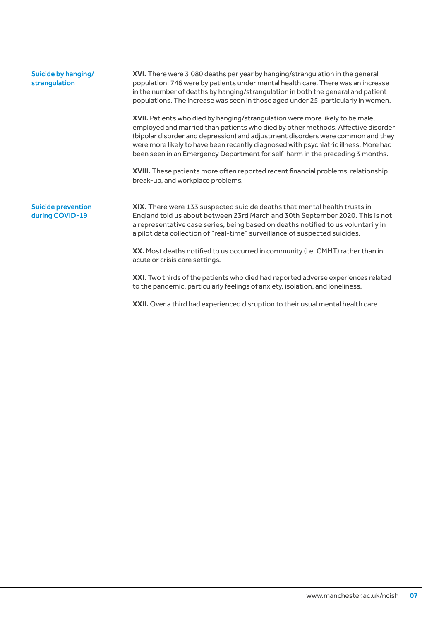| Suicide by hanging/<br>strangulation         | XVI. There were 3,080 deaths per year by hanging/strangulation in the general<br>population; 746 were by patients under mental health care. There was an increase<br>in the number of deaths by hanging/strangulation in both the general and patient<br>populations. The increase was seen in those aged under 25, particularly in women.<br>XVII. Patients who died by hanging/strangulation were more likely to be male,<br>employed and married than patients who died by other methods. Affective disorder<br>(bipolar disorder and depression) and adjustment disorders were common and they<br>were more likely to have been recently diagnosed with psychiatric illness. More had<br>been seen in an Emergency Department for self-harm in the preceding 3 months.<br>XVIII. These patients more often reported recent financial problems, relationship<br>break-up, and workplace problems. |
|----------------------------------------------|------------------------------------------------------------------------------------------------------------------------------------------------------------------------------------------------------------------------------------------------------------------------------------------------------------------------------------------------------------------------------------------------------------------------------------------------------------------------------------------------------------------------------------------------------------------------------------------------------------------------------------------------------------------------------------------------------------------------------------------------------------------------------------------------------------------------------------------------------------------------------------------------------|
| <b>Suicide prevention</b><br>during COVID-19 | XIX. There were 133 suspected suicide deaths that mental health trusts in<br>England told us about between 23rd March and 30th September 2020. This is not<br>a representative case series, being based on deaths notified to us voluntarily in<br>a pilot data collection of "real-time" surveillance of suspected suicides.<br>XX. Most deaths notified to us occurred in community (i.e. CMHT) rather than in<br>acute or crisis care settings.<br>XXI. Two thirds of the patients who died had reported adverse experiences related                                                                                                                                                                                                                                                                                                                                                              |
|                                              | to the pandemic, particularly feelings of anxiety, isolation, and loneliness.<br>XXII. Over a third had experienced disruption to their usual mental health care.                                                                                                                                                                                                                                                                                                                                                                                                                                                                                                                                                                                                                                                                                                                                    |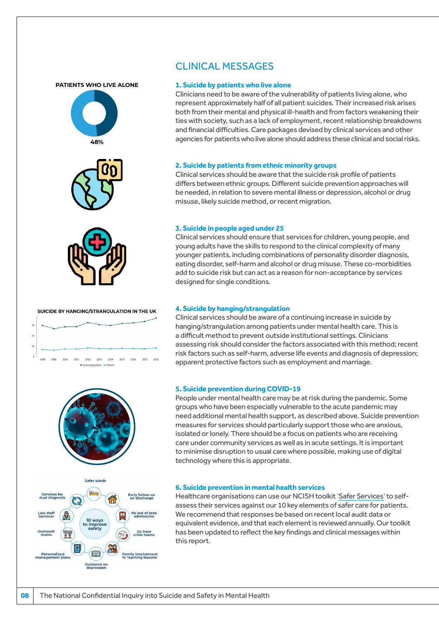#### PATIENTS WHO LIVE ALONE







SUICIDE BY HANGING/STRANGULATION IN THE UK





## CLINICAL MESSAGES

#### **1. Suicide by patients who live alone**

Clinicians need to be aware of the vulnerability of patients living alone, who represent approximately half of all patient suicides. Their increased risk arises both from their mental and physical ill-health and from factors weakening their ties with society, such as a lack of employment, recent relationship breakdowns and financial difficulties. Care packages devised by clinical services and other agencies for patients who live alone should address these clinical and social risks.

### **2. Suicide by patients from ethnic minority groups**

Clinical services should be aware that the suicide risk profile of patients differs between ethnic groups. Different suicide prevention approaches will be needed, in relation to severe mental illness or depression, alcohol or drug misuse, likely suicide method, or recent migration.

#### **3. Suicide in people aged under 25**

Clinical services should ensure that services for children, young people, and young adults have the skills to respond to the clinical complexity of many younger patients, including combinations of personality disorder diagnosis, eating disorder, self-harm and alcohol or drug misuse. These co-morbidities add to suicide risk but can act as a reason for non-acceptance by services designed for single conditions.

#### **4. Suicide by hanging/strangulation**

Clinical services should be aware of a continuing increase in suicide by hanging/strangulation among patients under mental health care. This is a difficult method to prevent outside institutional settings. Clinicians assessing risk should consider the factors associated with this method; recent risk factors such as self-harm, adverse life events and diagnosis of depression; apparent protective factors such as employment and marriage.

#### **5. Suicide prevention during COVID-19**

People under mental health care may be at risk during the pandemic. Some groups who have been especially vulnerable to the acute pandemic may need additional mental health support, as described above. Suicide prevention measures for services should particularly support those who are anxious, isolated or lonely. There should be a focus on patients who are receiving care under community services as well as in acute settings. It is important to minimise disruption to usual care where possible, making use of digital technology where this is appropriate.

### **6. Suicide prevention in mental health services**

Healthcare organisations can use our NCISH toolkit ['Safer Services](https://documents.manchester.ac.uk/display.aspx?DocID=40697)' to selfassess their services against our 10 key elements of safer care for patients. We recommend that responses be based on recent local audit data or equivalent evidence, and that each element is reviewed annually. Our toolkit has been updated to reflect the key findings and clinical messages within this report.